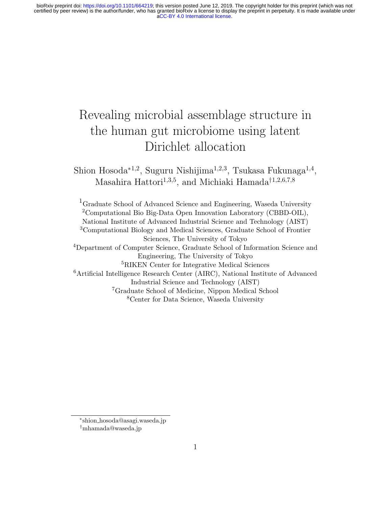# Revealing microbial assemblage structure in the human gut microbiome using latent Dirichlet allocation

Shion Hosoda $^{*1,2}$ , Suguru Nishijima $^{1,2,3}$ , Tsukasa Fukunaga $^{1,4}$ , Masahira Hattori<sup>1,3,5</sup>, and Michiaki Hamada<sup>†1,2,6,7,8</sup>

Graduate School of Advanced Science and Engineering, Waseda University Computational Bio Big-Data Open Innovation Laboratory (CBBD-OIL), National Institute of Advanced Industrial Science and Technology (AIST) Computational Biology and Medical Sciences, Graduate School of Frontier Sciences, The University of Tokyo Department of Computer Science, Graduate School of Information Science and Engineering, The University of Tokyo RIKEN Center for Integrative Medical Sciences Artificial Intelligence Research Center (AIRC), National Institute of Advanced Industrial Science and Technology (AIST) Graduate School of Medicine, Nippon Medical School Center for Data Science, Waseda University

<sup>∗</sup> shion hosoda@asagi.waseda.jp †mhamada@waseda.jp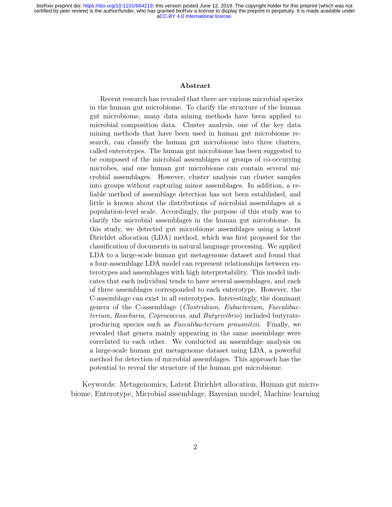#### Abstract

Recent research has revealed that there are various microbial species in the human gut microbiome. To clarify the structure of the human gut microbiome, many data mining methods have been applied to microbial composition data. Cluster analysis, one of the key data mining methods that have been used in human gut microbiome research, can classify the human gut microbiome into three clusters, called enterotypes. The human gut microbiome has been suggested to be composed of the microbial assemblages or groups of co-occurring microbes, and one human gut microbiome can contain several microbial assemblages. However, cluster analysis can cluster samples into groups without capturing minor assemblages. In addition, a reliable method of assemblage detection has not been established, and little is known about the distributions of microbial assemblages at a population-level scale. Accordingly, the purpose of this study was to clarify the microbial assemblages in the human gut microbiome. In this study, we detected gut microbiome assemblages using a latent Dirichlet allocation (LDA) method, which was first proposed for the classification of documents in natural language processing. We applied LDA to a large-scale human gut metagenome dataset and found that a four-assemblage LDA model can represent relationships between enterotypes and assemblages with high interpretability. This model indicates that each individual tends to have several assemblages, and each of three assemblages corresponded to each enterotype. However, the C-assemblage can exist in all enterotypes. Interestingly, the dominant genera of the C-assemblage (Clostridium, Eubacterium, Faecalibacterium, Roseburia, Coprococcus, and Butyrivibrio) included butyrateproducing species such as Faecalibacterium prausnitzii. Finally, we revealed that genera mainly appearing in the same assemblage were correlated to each other. We conducted an assemblage analysis on a large-scale human gut metagenome dataset using LDA, a powerful method for detection of microbial assemblages. This approach has the potential to reveal the structure of the human gut microbiome.

Keywords: Metagenomics, Latent Dirichlet allocation, Human gut microbiome, Enterotype, Microbial assemblage, Bayesian model, Machine learning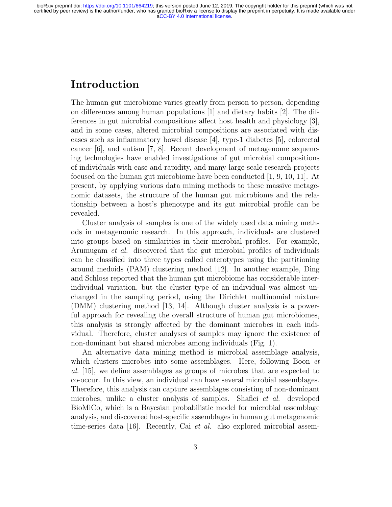## Introduction

The human gut microbiome varies greatly from person to person, depending on differences among human populations [1] and dietary habits [2]. The differences in gut microbial compositions affect host health and physiology [3], and in some cases, altered microbial compositions are associated with diseases such as inflammatory bowel disease [4], type-1 diabetes [5], colorectal cancer [6], and autism [7, 8]. Recent development of metagenome sequencing technologies have enabled investigations of gut microbial compositions of individuals with ease and rapidity, and many large-scale research projects focused on the human gut microbiome have been conducted [1, 9, 10, 11]. At present, by applying various data mining methods to these massive metagenomic datasets, the structure of the human gut microbiome and the relationship between a host's phenotype and its gut microbial profile can be revealed.

Cluster analysis of samples is one of the widely used data mining methods in metagenomic research. In this approach, individuals are clustered into groups based on similarities in their microbial profiles. For example, Arumugam et al. discovered that the gut microbial profiles of individuals can be classified into three types called enterotypes using the partitioning around medoids (PAM) clustering method [12]. In another example, Ding and Schloss reported that the human gut microbiome has considerable interindividual variation, but the cluster type of an individual was almost unchanged in the sampling period, using the Dirichlet multinomial mixture (DMM) clustering method [13, 14]. Although cluster analysis is a powerful approach for revealing the overall structure of human gut microbiomes, this analysis is strongly affected by the dominant microbes in each individual. Therefore, cluster analyses of samples may ignore the existence of non-dominant but shared microbes among individuals (Fig. 1).

An alternative data mining method is microbial assemblage analysis, which clusters microbes into some assemblages. Here, following Boon *et* al. [15], we define assemblages as groups of microbes that are expected to co-occur. In this view, an individual can have several microbial assemblages. Therefore, this analysis can capture assemblages consisting of non-dominant microbes, unlike a cluster analysis of samples. Shafiei et al. developed BioMiCo, which is a Bayesian probabilistic model for microbial assemblage analysis, and discovered host-specific assemblages in human gut metagenomic time-series data [16]. Recently, Cai et al. also explored microbial assem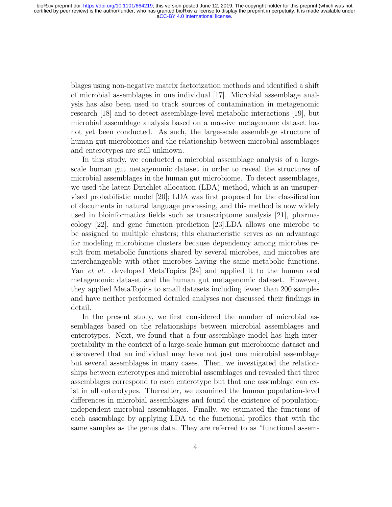blages using non-negative matrix factorization methods and identified a shift of microbial assemblages in one individual [17]. Microbial assemblage analysis has also been used to track sources of contamination in metagenomic research [18] and to detect assemblage-level metabolic interactions [19], but microbial assemblage analysis based on a massive metagenome dataset has not yet been conducted. As such, the large-scale assemblage structure of human gut microbiomes and the relationship between microbial assemblages and enterotypes are still unknown.

In this study, we conducted a microbial assemblage analysis of a largescale human gut metagenomic dataset in order to reveal the structures of microbial assemblages in the human gut microbiome. To detect assemblages, we used the latent Dirichlet allocation (LDA) method, which is an unsupervised probabilistic model [20]; LDA was first proposed for the classification of documents in natural language processing, and this method is now widely used in bioinformatics fields such as transcriptome analysis [21], pharmacology [22], and gene function prediction [23].LDA allows one microbe to be assigned to multiple clusters; this characteristic serves as an advantage for modeling microbiome clusters because dependency among microbes result from metabolic functions shared by several microbes, and microbes are interchangeable with other microbes having the same metabolic functions. Yan et al. developed MetaTopics [24] and applied it to the human oral metagenomic dataset and the human gut metagenomic dataset. However, they applied MetaTopics to small datasets including fewer than 200 samples and have neither performed detailed analyses nor discussed their findings in detail.

In the present study, we first considered the number of microbial assemblages based on the relationships between microbial assemblages and enterotypes. Next, we found that a four-assemblage model has high interpretability in the context of a large-scale human gut microbiome dataset and discovered that an individual may have not just one microbial assemblage but several assemblages in many cases. Then, we investigated the relationships between enterotypes and microbial assemblages and revealed that three assemblages correspond to each enterotype but that one assemblage can exist in all enterotypes. Thereafter, we examined the human population-level differences in microbial assemblages and found the existence of populationindependent microbial assemblages. Finally, we estimated the functions of each assemblage by applying LDA to the functional profiles that with the same samples as the genus data. They are referred to as "functional assem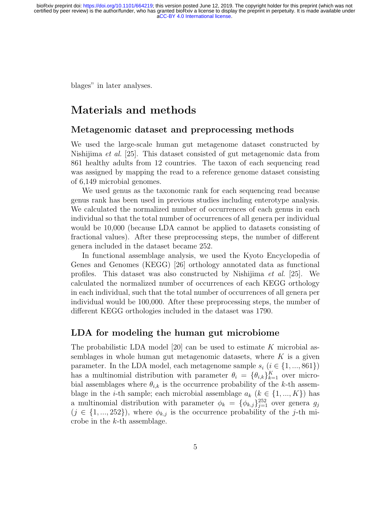blages" in later analyses.

## Materials and methods

#### Metagenomic dataset and preprocessing methods

We used the large-scale human gut metagenome dataset constructed by Nishijima et al. [25]. This dataset consisted of gut metagenomic data from 861 healthy adults from 12 countries. The taxon of each sequencing read was assigned by mapping the read to a reference genome dataset consisting of 6,149 microbial genomes.

We used genus as the taxonomic rank for each sequencing read because genus rank has been used in previous studies including enterotype analysis. We calculated the normalized number of occurrences of each genus in each individual so that the total number of occurrences of all genera per individual would be 10,000 (because LDA cannot be applied to datasets consisting of fractional values). After these preprocessing steps, the number of different genera included in the dataset became 252.

In functional assemblage analysis, we used the Kyoto Encyclopedia of Genes and Genomes (KEGG) [26] orthology annotated data as functional profiles. This dataset was also constructed by Nishijima et al. [25]. We calculated the normalized number of occurrences of each KEGG orthology in each individual, such that the total number of occurrences of all genera per individual would be 100,000. After these preprocessing steps, the number of different KEGG orthologies included in the dataset was 1790.

#### LDA for modeling the human gut microbiome

The probabilistic LDA model [20] can be used to estimate K microbial assemblages in whole human gut metagenomic datasets, where  $K$  is a given parameter. In the LDA model, each metagenome sample  $s_i$  ( $i \in \{1, ..., 861\}$ ) has a multinomial distribution with parameter  $\theta_i = {\theta_{i,k}}_{k=1}^K$  over microbial assemblages where  $\theta_{i,k}$  is the occurrence probability of the k-th assemblage in the *i*-th sample; each microbial assemblage  $a_k$  ( $k \in \{1, ..., K\}$ ) has a multinomial distribution with parameter  $\phi_k = {\phi_{k,j}}_{j=1}^{252}$  over genera  $g_j$  $(j \in \{1, ..., 252\})$ , where  $\phi_{k,j}$  is the occurrence probability of the j-th microbe in the k-th assemblage.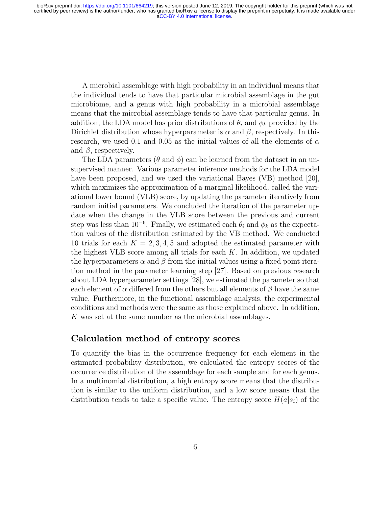A microbial assemblage with high probability in an individual means that the individual tends to have that particular microbial assemblage in the gut microbiome, and a genus with high probability in a microbial assemblage means that the microbial assemblage tends to have that particular genus. In addition, the LDA model has prior distributions of  $\theta_i$  and  $\phi_k$  provided by the Dirichlet distribution whose hyperparameter is  $\alpha$  and  $\beta$ , respectively. In this research, we used 0.1 and 0.05 as the initial values of all the elements of  $\alpha$ and  $\beta$ , respectively.

The LDA parameters ( $\theta$  and  $\phi$ ) can be learned from the dataset in an unsupervised manner. Various parameter inference methods for the LDA model have been proposed, and we used the variational Bayes (VB) method [20], which maximizes the approximation of a marginal likelihood, called the variational lower bound (VLB) score, by updating the parameter iteratively from random initial parameters. We concluded the iteration of the parameter update when the change in the VLB score between the previous and current step was less than 10<sup>-6</sup>. Finally, we estimated each  $\theta_i$  and  $\phi_k$  as the expectation values of the distribution estimated by the VB method. We conducted 10 trials for each  $K = 2, 3, 4, 5$  and adopted the estimated parameter with the highest VLB score among all trials for each  $K$ . In addition, we updated the hyperparameters  $\alpha$  and  $\beta$  from the initial values using a fixed point iteration method in the parameter learning step [27]. Based on previous research about LDA hyperparameter settings [28], we estimated the parameter so that each element of  $\alpha$  differed from the others but all elements of  $\beta$  have the same value. Furthermore, in the functional assemblage analysis, the experimental conditions and methods were the same as those explained above. In addition, K was set at the same number as the microbial assemblages.

#### Calculation method of entropy scores

To quantify the bias in the occurrence frequency for each element in the estimated probability distribution, we calculated the entropy scores of the occurrence distribution of the assemblage for each sample and for each genus. In a multinomial distribution, a high entropy score means that the distribution is similar to the uniform distribution, and a low score means that the distribution tends to take a specific value. The entropy score  $H(a|s_i)$  of the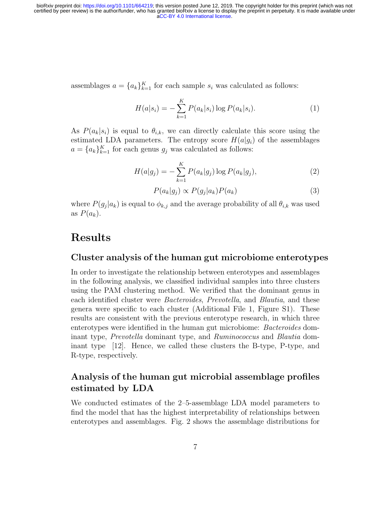assemblages  $a = \{a_k\}_{k=1}^K$  for each sample  $s_i$  was calculated as follows:

$$
H(a|s_i) = -\sum_{k=1}^{K} P(a_k|s_i) \log P(a_k|s_i).
$$
 (1)

As  $P(a_k|s_i)$  is equal to  $\theta_{i,k}$ , we can directly calculate this score using the estimated LDA parameters. The entropy score  $H(a|g_i)$  of the assemblages  $a = \{a_k\}_{k=1}^K$  for each genus  $g_j$  was calculated as follows:

$$
H(a|g_j) = -\sum_{k=1}^{K} P(a_k|g_j) \log P(a_k|g_j), \qquad (2)
$$

$$
P(a_k|g_j) \propto P(g_j|a_k)P(a_k) \tag{3}
$$

where  $P(g_j|a_k)$  is equal to  $\phi_{k,j}$  and the average probability of all  $\theta_{i,k}$  was used as  $P(a_k)$ .

### Results

#### Cluster analysis of the human gut microbiome enterotypes

In order to investigate the relationship between enterotypes and assemblages in the following analysis, we classified individual samples into three clusters using the PAM clustering method. We verified that the dominant genus in each identified cluster were Bacteroides, Prevotella, and Blautia, and these genera were specific to each cluster (Additional File 1, Figure S1). These results are consistent with the previous enterotype research, in which three enterotypes were identified in the human gut microbiome: Bacteroides dominant type, *Prevotella* dominant type, and *Ruminococcus* and *Blautia* dominant type [12]. Hence, we called these clusters the B-type, P-type, and R-type, respectively.

#### Analysis of the human gut microbial assemblage profiles estimated by LDA

We conducted estimates of the 2–5-assemblage LDA model parameters to find the model that has the highest interpretability of relationships between enterotypes and assemblages. Fig. 2 shows the assemblage distributions for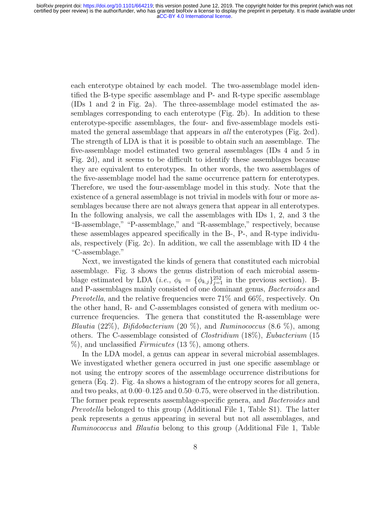each enterotype obtained by each model. The two-assemblage model identified the B-type specific assemblage and P- and R-type specific assemblage (IDs 1 and 2 in Fig. 2a). The three-assemblage model estimated the assemblages corresponding to each enterotype (Fig. 2b). In addition to these enterotype-specific assemblages, the four- and five-assemblage models estimated the general assemblage that appears in *all* the enterotypes (Fig. 2cd). The strength of LDA is that it is possible to obtain such an assemblage. The five-assemblage model estimated two general assemblages (IDs 4 and 5 in Fig. 2d), and it seems to be difficult to identify these assemblages because they are equivalent to enterotypes. In other words, the two assemblages of the five-assemblage model had the same occurrence pattern for enterotypes. Therefore, we used the four-assemblage model in this study. Note that the existence of a general assemblage is not trivial in models with four or more assemblages because there are not always genera that appear in all enterotypes. In the following analysis, we call the assemblages with IDs 1, 2, and 3 the "B-assemblage," "P-assemblage," and "R-assemblage," respectively, because these assemblages appeared specifically in the B-, P-, and R-type individuals, respectively (Fig. 2c). In addition, we call the assemblage with ID 4 the "C-assemblage."

Next, we investigated the kinds of genera that constituted each microbial assemblage. Fig. 3 shows the genus distribution of each microbial assemblage estimated by LDA (*i.e.*,  $\phi_k = {\phi_{k,j}}_{j=1}^{252}$  in the previous section). Band P-assemblages mainly consisted of one dominant genus, Bacteroides and Prevotella, and the relative frequencies were 71% and 66%, respectively. On the other hand, R- and C-assemblages consisted of genera with medium occurrence frequencies. The genera that constituted the R-assemblage were Blautia (22%), Bifidobacterium (20 %), and Ruminococcus (8.6 %), among others. The C-assemblage consisted of Clostridium (18%), Eubacterium (15  $\%$ ), and unclassified *Firmicutes* (13  $\%$ ), among others.

In the LDA model, a genus can appear in several microbial assemblages. We investigated whether genera occurred in just one specific assemblage or not using the entropy scores of the assemblage occurrence distributions for genera (Eq. 2). Fig. 4a shows a histogram of the entropy scores for all genera, and two peaks, at 0.00–0.125 and 0.50–0.75, were observed in the distribution. The former peak represents assemblage-specific genera, and Bacteroides and Prevotella belonged to this group (Additional File 1, Table S1). The latter peak represents a genus appearing in several but not all assemblages, and Ruminococcus and Blautia belong to this group (Additional File 1, Table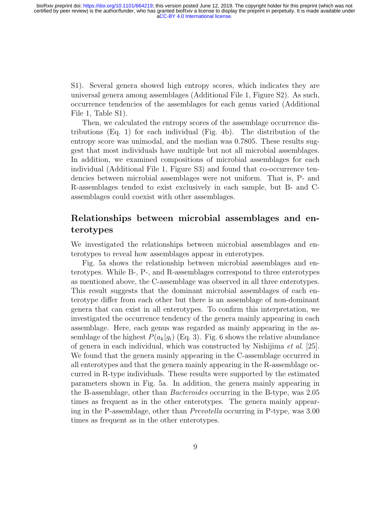S1). Several genera showed high entropy scores, which indicates they are universal genera among assemblages (Additional File 1, Figure S2). As such, occurrence tendencies of the assemblages for each genus varied (Additional File 1, Table S1).

Then, we calculated the entropy scores of the assemblage occurrence distributions (Eq. 1) for each individual (Fig. 4b). The distribution of the entropy score was unimodal, and the median was 0.7805. These results suggest that most individuals have multiple but not all microbial assemblages. In addition, we examined compositions of microbial assemblages for each individual (Additional File 1, Figure S3) and found that co-occurrence tendencies between microbial assemblages were not uniform. That is, P- and R-assemblages tended to exist exclusively in each sample, but B- and Cassemblages could coexist with other assemblages.

#### Relationships between microbial assemblages and enterotypes

We investigated the relationships between microbial assemblages and enterotypes to reveal how assemblages appear in enterotypes.

Fig. 5a shows the relationship between microbial assemblages and enterotypes. While B-, P-, and R-assemblages correspond to three enterotypes as mentioned above, the C-assemblage was observed in all three enterotypes. This result suggests that the dominant microbial assemblages of each enterotype differ from each other but there is an assemblage of non-dominant genera that can exist in all enterotypes. To confirm this interpretation, we investigated the occurrence tendency of the genera mainly appearing in each assemblage. Here, each genus was regarded as mainly appearing in the assemblage of the highest  $P(a_k|q_i)$  (Eq. 3). Fig. 6 shows the relative abundance of genera in each individual, which was constructed by Nishijima et al. [25]. We found that the genera mainly appearing in the C-assemblage occurred in all enterotypes and that the genera mainly appearing in the R-assemblage occurred in R-type individuals. These results were supported by the estimated parameters shown in Fig. 5a. In addition, the genera mainly appearing in the B-assemblage, other than Bacteroides occurring in the B-type, was 2.05 times as frequent as in the other enterotypes. The genera mainly appearing in the P-assemblage, other than Prevotella occurring in P-type, was 3.00 times as frequent as in the other enterotypes.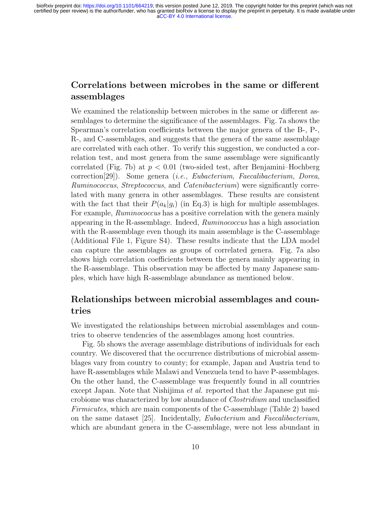### Correlations between microbes in the same or different assemblages

We examined the relationship between microbes in the same or different assemblages to determine the significance of the assemblages. Fig. 7a shows the Spearman's correlation coefficients between the major genera of the B-, P-, R-, and C-assemblages, and suggests that the genera of the same assemblage are correlated with each other. To verify this suggestion, we conducted a correlation test, and most genera from the same assemblage were significantly correlated (Fig. 7b) at  $p < 0.01$  (two-sided test, after Benjamini–Hochberg correction[29]). Some genera (i.e., Eubacterium, Faecalibacterium, Dorea, Ruminococcus, Streptococcus, and Catenibacterium) were significantly correlated with many genera in other assemblages. These results are consistent with the fact that their  $P(a_k|g_i)$  (in Eq.3) is high for multiple assemblages. For example, *Ruminococcus* has a positive correlation with the genera mainly appearing in the R-assemblage. Indeed, Ruminococcus has a high association with the R-assemblage even though its main assemblage is the C-assemblage (Additional File 1, Figure S4). These results indicate that the LDA model can capture the assemblages as groups of correlated genera. Fig. 7a also shows high correlation coefficients between the genera mainly appearing in the R-assemblage. This observation may be affected by many Japanese samples, which have high R-assemblage abundance as mentioned below.

#### Relationships between microbial assemblages and countries

We investigated the relationships between microbial assemblages and countries to observe tendencies of the assemblages among host countries.

Fig. 5b shows the average assemblage distributions of individuals for each country. We discovered that the occurrence distributions of microbial assemblages vary from country to county; for example, Japan and Austria tend to have R-assemblages while Malawi and Venezuela tend to have P-assemblages. On the other hand, the C-assemblage was frequently found in all countries except Japan. Note that Nishijima et al. reported that the Japanese gut microbiome was characterized by low abundance of Clostridium and unclassified Firmicutes, which are main components of the C-assemblage (Table 2) based on the same dataset [25]. Incidentally, Eubacterium and Faecalibacterium, which are abundant genera in the C-assemblage, were not less abundant in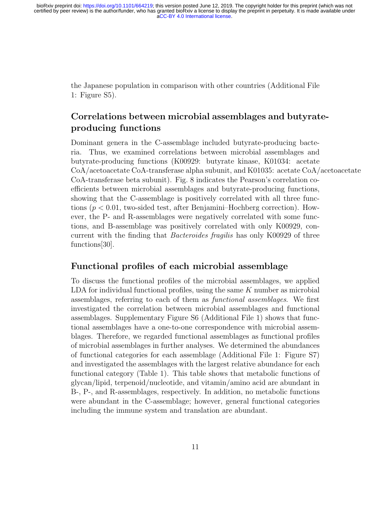the Japanese population in comparison with other countries (Additional File 1: Figure S5).

### Correlations between microbial assemblages and butyrateproducing functions

Dominant genera in the C-assemblage included butyrate-producing bacteria. Thus, we examined correlations between microbial assemblages and butyrate-producing functions (K00929: butyrate kinase, K01034: acetate CoA/acetoacetate CoA-transferase alpha subunit, and K01035: acetate CoA/acetoacetate CoA-transferase beta subunit). Fig. 8 indicates the Pearson's correlation coefficients between microbial assemblages and butyrate-producing functions, showing that the C-assemblage is positively correlated with all three functions ( $p < 0.01$ , two-sided test, after Benjamini–Hochberg correction). However, the P- and R-assemblages were negatively correlated with some functions, and B-assemblage was positively correlated with only K00929, concurrent with the finding that Bacteroides fragilis has only K00929 of three functions[30].

#### Functional profiles of each microbial assemblage

To discuss the functional profiles of the microbial assemblages, we applied LDA for individual functional profiles, using the same K number as microbial assemblages, referring to each of them as functional assemblages. We first investigated the correlation between microbial assemblages and functional assemblages. Supplementary Figure S6 (Additional File 1) shows that functional assemblages have a one-to-one correspondence with microbial assemblages. Therefore, we regarded functional assemblages as functional profiles of microbial assemblages in further analyses. We determined the abundances of functional categories for each assemblage (Additional File 1: Figure S7) and investigated the assemblages with the largest relative abundance for each functional category (Table 1). This table shows that metabolic functions of glycan/lipid, terpenoid/nucleotide, and vitamin/amino acid are abundant in B-, P-, and R-assemblages, respectively. In addition, no metabolic functions were abundant in the C-assemblage; however, general functional categories including the immune system and translation are abundant.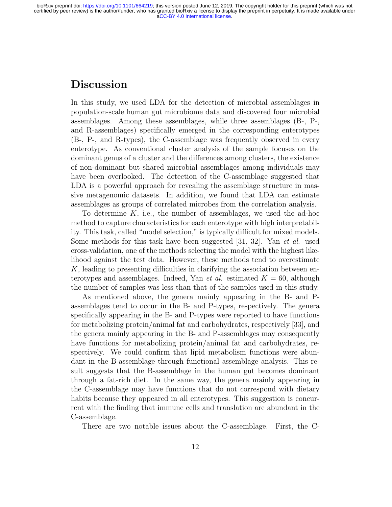### **Discussion**

In this study, we used LDA for the detection of microbial assemblages in population-scale human gut microbiome data and discovered four microbial assemblages. Among these assemblages, while three assemblages (B-, P-, and R-assemblages) specifically emerged in the corresponding enterotypes (B-, P-, and R-types), the C-assemblage was frequently observed in every enterotype. As conventional cluster analysis of the sample focuses on the dominant genus of a cluster and the differences among clusters, the existence of non-dominant but shared microbial assemblages among individuals may have been overlooked. The detection of the C-assemblage suggested that LDA is a powerful approach for revealing the assemblage structure in massive metagenomic datasets. In addition, we found that LDA can estimate assemblages as groups of correlated microbes from the correlation analysis.

To determine  $K$ , i.e., the number of assemblages, we used the ad-hoc method to capture characteristics for each enterotype with high interpretability. This task, called "model selection," is typically difficult for mixed models. Some methods for this task have been suggested [31, 32]. Yan et al. used cross-validation, one of the methods selecting the model with the highest likelihood against the test data. However, these methods tend to overestimate K, leading to presenting difficulties in clarifying the association between enterotypes and assemblages. Indeed, Yan *et al.* estimated  $K = 60$ , although the number of samples was less than that of the samples used in this study.

As mentioned above, the genera mainly appearing in the B- and Passemblages tend to occur in the B- and P-types, respectively. The genera specifically appearing in the B- and P-types were reported to have functions for metabolizing protein/animal fat and carbohydrates, respectively [33], and the genera mainly appearing in the B- and P-assemblages may consequently have functions for metabolizing protein/animal fat and carbohydrates, respectively. We could confirm that lipid metabolism functions were abundant in the B-assemblage through functional assemblage analysis. This result suggests that the B-assemblage in the human gut becomes dominant through a fat-rich diet. In the same way, the genera mainly appearing in the C-assemblage may have functions that do not correspond with dietary habits because they appeared in all enterotypes. This suggestion is concurrent with the finding that immune cells and translation are abundant in the C-assemblage.

There are two notable issues about the C-assemblage. First, the C-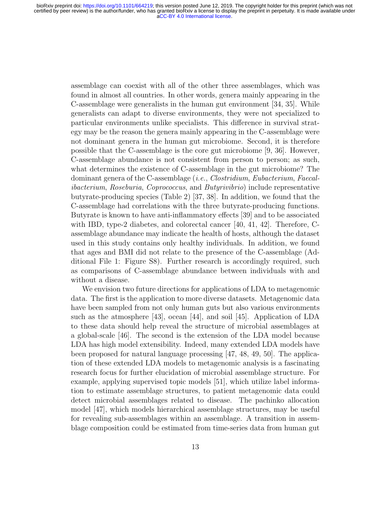assemblage can coexist with all of the other three assemblages, which was found in almost all countries. In other words, genera mainly appearing in the C-assemblage were generalists in the human gut environment [34, 35]. While generalists can adapt to diverse environments, they were not specialized to particular environments unlike specialists. This difference in survival strategy may be the reason the genera mainly appearing in the C-assemblage were not dominant genera in the human gut microbiome. Second, it is therefore possible that the C-assemblage is the core gut microbiome [9, 36]. However, C-assemblage abundance is not consistent from person to person; as such, what determines the existence of C-assemblage in the gut microbiome? The dominant genera of the C-assemblage (i.e., Clostridium, Eubacterium, Faecalibacterium, Roseburia, Coprococcus, and Butyrivibrio) include representative butyrate-producing species (Table 2) [37, 38]. In addition, we found that the C-assemblage had correlations with the three butyrate-producing functions. Butyrate is known to have anti-inflammatory effects [39] and to be associated with IBD, type-2 diabetes, and colorectal cancer [40, 41, 42]. Therefore, Cassemblage abundance may indicate the health of hosts, although the dataset used in this study contains only healthy individuals. In addition, we found that ages and BMI did not relate to the presence of the C-assemblage (Additional File 1: Figure S8). Further research is accordingly required, such as comparisons of C-assemblage abundance between individuals with and without a disease.

We envision two future directions for applications of LDA to metagenomic data. The first is the application to more diverse datasets. Metagenomic data have been sampled from not only human guts but also various environments such as the atmosphere [43], ocean [44], and soil [45]. Application of LDA to these data should help reveal the structure of microbial assemblages at a global-scale [46]. The second is the extension of the LDA model because LDA has high model extensibility. Indeed, many extended LDA models have been proposed for natural language processing [47, 48, 49, 50]. The application of these extended LDA models to metagenomic analysis is a fascinating research focus for further elucidation of microbial assemblage structure. For example, applying supervised topic models [51], which utilize label information to estimate assemblage structures, to patient metagenomic data could detect microbial assemblages related to disease. The pachinko allocation model [47], which models hierarchical assemblage structures, may be useful for revealing sub-assemblages within an assemblage. A transition in assemblage composition could be estimated from time-series data from human gut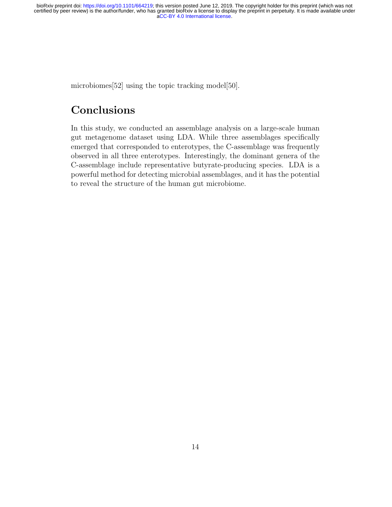microbiomes<sup>[52]</sup> using the topic tracking model<sup>[50]</sup>.

# Conclusions

In this study, we conducted an assemblage analysis on a large-scale human gut metagenome dataset using LDA. While three assemblages specifically emerged that corresponded to enterotypes, the C-assemblage was frequently observed in all three enterotypes. Interestingly, the dominant genera of the C-assemblage include representative butyrate-producing species. LDA is a powerful method for detecting microbial assemblages, and it has the potential to reveal the structure of the human gut microbiome.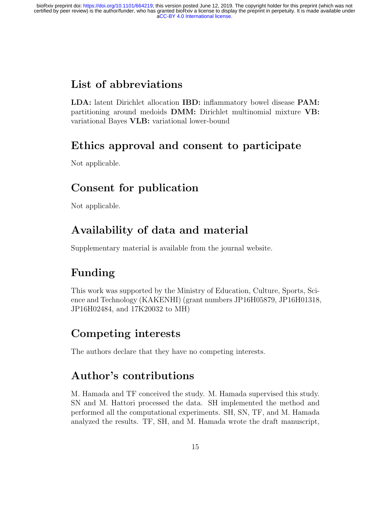# List of abbreviations

LDA: latent Dirichlet allocation IBD: inflammatory bowel disease PAM: partitioning around medoids DMM: Dirichlet multinomial mixture VB: variational Bayes VLB: variational lower-bound

# Ethics approval and consent to participate

Not applicable.

# Consent for publication

Not applicable.

# Availability of data and material

Supplementary material is available from the journal website.

# Funding

This work was supported by the Ministry of Education, Culture, Sports, Science and Technology (KAKENHI) (grant numbers JP16H05879, JP16H01318, JP16H02484, and 17K20032 to MH)

# Competing interests

The authors declare that they have no competing interests.

# Author's contributions

M. Hamada and TF conceived the study. M. Hamada supervised this study. SN and M. Hattori processed the data. SH implemented the method and performed all the computational experiments. SH, SN, TF, and M. Hamada analyzed the results. TF, SH, and M. Hamada wrote the draft manuscript,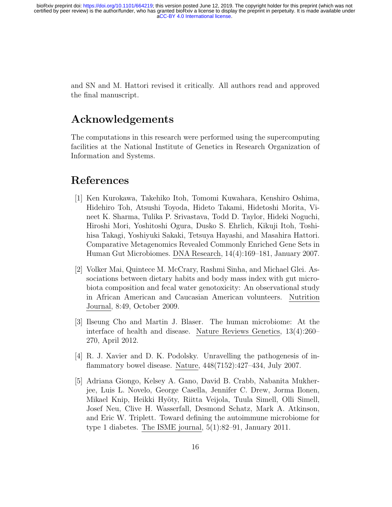> and SN and M. Hattori revised it critically. All authors read and approved the final manuscript.

## Acknowledgements

The computations in this research were performed using the supercomputing facilities at the National Institute of Genetics in Research Organization of Information and Systems.

## References

- [1] Ken Kurokawa, Takehiko Itoh, Tomomi Kuwahara, Kenshiro Oshima, Hidehiro Toh, Atsushi Toyoda, Hideto Takami, Hidetoshi Morita, Vineet K. Sharma, Tulika P. Srivastava, Todd D. Taylor, Hideki Noguchi, Hiroshi Mori, Yoshitoshi Ogura, Dusko S. Ehrlich, Kikuji Itoh, Toshihisa Takagi, Yoshiyuki Sakaki, Tetsuya Hayashi, and Masahira Hattori. Comparative Metagenomics Revealed Commonly Enriched Gene Sets in Human Gut Microbiomes. DNA Research, 14(4):169–181, January 2007.
- [2] Volker Mai, Quintece M. McCrary, Rashmi Sinha, and Michael Glei. Associations between dietary habits and body mass index with gut microbiota composition and fecal water genotoxicity: An observational study in African American and Caucasian American volunteers. Nutrition Journal, 8:49, October 2009.
- [3] Ilseung Cho and Martin J. Blaser. The human microbiome: At the interface of health and disease. Nature Reviews Genetics, 13(4):260– 270, April 2012.
- [4] R. J. Xavier and D. K. Podolsky. Unravelling the pathogenesis of inflammatory bowel disease. Nature, 448(7152):427–434, July 2007.
- [5] Adriana Giongo, Kelsey A. Gano, David B. Crabb, Nabanita Mukherjee, Luis L. Novelo, George Casella, Jennifer C. Drew, Jorma Ilonen, Mikael Knip, Heikki Hyöty, Riitta Veijola, Tuula Simell, Olli Simell, Josef Neu, Clive H. Wasserfall, Desmond Schatz, Mark A. Atkinson, and Eric W. Triplett. Toward defining the autoimmune microbiome for type 1 diabetes. The ISME journal, 5(1):82–91, January 2011.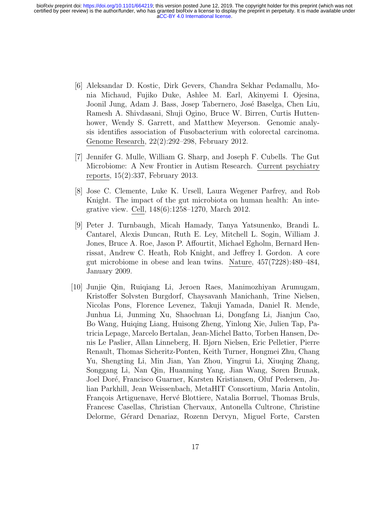- [6] Aleksandar D. Kostic, Dirk Gevers, Chandra Sekhar Pedamallu, Monia Michaud, Fujiko Duke, Ashlee M. Earl, Akinyemi I. Ojesina, Joonil Jung, Adam J. Bass, Josep Tabernero, José Baselga, Chen Liu, Ramesh A. Shivdasani, Shuji Ogino, Bruce W. Birren, Curtis Huttenhower, Wendy S. Garrett, and Matthew Meyerson. Genomic analysis identifies association of Fusobacterium with colorectal carcinoma. Genome Research, 22(2):292–298, February 2012.
- [7] Jennifer G. Mulle, William G. Sharp, and Joseph F. Cubells. The Gut Microbiome: A New Frontier in Autism Research. Current psychiatry reports, 15(2):337, February 2013.
- [8] Jose C. Clemente, Luke K. Ursell, Laura Wegener Parfrey, and Rob Knight. The impact of the gut microbiota on human health: An integrative view. Cell, 148(6):1258–1270, March 2012.
- [9] Peter J. Turnbaugh, Micah Hamady, Tanya Yatsunenko, Brandi L. Cantarel, Alexis Duncan, Ruth E. Ley, Mitchell L. Sogin, William J. Jones, Bruce A. Roe, Jason P. Affourtit, Michael Egholm, Bernard Henrissat, Andrew C. Heath, Rob Knight, and Jeffrey I. Gordon. A core gut microbiome in obese and lean twins. Nature, 457(7228):480–484, January 2009.
- [10] Junjie Qin, Ruiqiang Li, Jeroen Raes, Manimozhiyan Arumugam, Kristoffer Solvsten Burgdorf, Chaysavanh Manichanh, Trine Nielsen, Nicolas Pons, Florence Levenez, Takuji Yamada, Daniel R. Mende, Junhua Li, Junming Xu, Shaochuan Li, Dongfang Li, Jianjun Cao, Bo Wang, Huiqing Liang, Huisong Zheng, Yinlong Xie, Julien Tap, Patricia Lepage, Marcelo Bertalan, Jean-Michel Batto, Torben Hansen, Denis Le Paslier, Allan Linneberg, H. Bjørn Nielsen, Eric Pelletier, Pierre Renault, Thomas Sicheritz-Ponten, Keith Turner, Hongmei Zhu, Chang Yu, Shengting Li, Min Jian, Yan Zhou, Yingrui Li, Xiuqing Zhang, Songgang Li, Nan Qin, Huanming Yang, Jian Wang, Søren Brunak, Joel Doré, Francisco Guarner, Karsten Kristiansen, Oluf Pedersen, Julian Parkhill, Jean Weissenbach, MetaHIT Consortium, Maria Antolin, François Artiguenave, Hervé Blottiere, Natalia Borruel, Thomas Bruls, Francesc Casellas, Christian Chervaux, Antonella Cultrone, Christine Delorme, Gérard Denariaz, Rozenn Dervyn, Miguel Forte, Carsten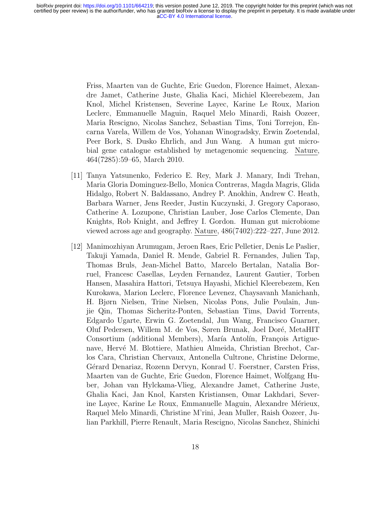Friss, Maarten van de Guchte, Eric Guedon, Florence Haimet, Alexandre Jamet, Catherine Juste, Ghalia Kaci, Michiel Kleerebezem, Jan Knol, Michel Kristensen, Severine Layec, Karine Le Roux, Marion Leclerc, Emmanuelle Maguin, Raquel Melo Minardi, Raish Oozeer, Maria Rescigno, Nicolas Sanchez, Sebastian Tims, Toni Torrejon, Encarna Varela, Willem de Vos, Yohanan Winogradsky, Erwin Zoetendal, Peer Bork, S. Dusko Ehrlich, and Jun Wang. A human gut microbial gene catalogue established by metagenomic sequencing. Nature, 464(7285):59–65, March 2010.

- [11] Tanya Yatsunenko, Federico E. Rey, Mark J. Manary, Indi Trehan, Maria Gloria Dominguez-Bello, Monica Contreras, Magda Magris, Glida Hidalgo, Robert N. Baldassano, Andrey P. Anokhin, Andrew C. Heath, Barbara Warner, Jens Reeder, Justin Kuczynski, J. Gregory Caporaso, Catherine A. Lozupone, Christian Lauber, Jose Carlos Clemente, Dan Knights, Rob Knight, and Jeffrey I. Gordon. Human gut microbiome viewed across age and geography. Nature, 486(7402):222–227, June 2012.
- [12] Manimozhiyan Arumugam, Jeroen Raes, Eric Pelletier, Denis Le Paslier, Takuji Yamada, Daniel R. Mende, Gabriel R. Fernandes, Julien Tap, Thomas Bruls, Jean-Michel Batto, Marcelo Bertalan, Natalia Borruel, Francesc Casellas, Leyden Fernandez, Laurent Gautier, Torben Hansen, Masahira Hattori, Tetsuya Hayashi, Michiel Kleerebezem, Ken Kurokawa, Marion Leclerc, Florence Levenez, Chaysavanh Manichanh, H. Bjørn Nielsen, Trine Nielsen, Nicolas Pons, Julie Poulain, Junjie Qin, Thomas Sicheritz-Ponten, Sebastian Tims, David Torrents, Edgardo Ugarte, Erwin G. Zoetendal, Jun Wang, Francisco Guarner, Oluf Pedersen, Willem M. de Vos, Søren Brunak, Joel Doré, MetaHIT Consortium (additional Members), María Antolín, François Artiguenave, Hervé M. Blottiere, Mathieu Almeida, Christian Brechot, Carlos Cara, Christian Chervaux, Antonella Cultrone, Christine Delorme, G´erard Denariaz, Rozenn Dervyn, Konrad U. Foerstner, Carsten Friss, Maarten van de Guchte, Eric Guedon, Florence Haimet, Wolfgang Huber, Johan van Hylckama-Vlieg, Alexandre Jamet, Catherine Juste, Ghalia Kaci, Jan Knol, Karsten Kristiansen, Omar Lakhdari, Severine Layec, Karine Le Roux, Emmanuelle Maguin, Alexandre Mérieux, Raquel Melo Minardi, Christine M'rini, Jean Muller, Raish Oozeer, Julian Parkhill, Pierre Renault, Maria Rescigno, Nicolas Sanchez, Shinichi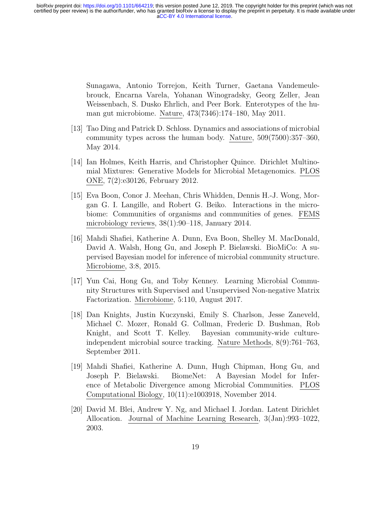Sunagawa, Antonio Torrejon, Keith Turner, Gaetana Vandemeulebrouck, Encarna Varela, Yohanan Winogradsky, Georg Zeller, Jean Weissenbach, S. Dusko Ehrlich, and Peer Bork. Enterotypes of the human gut microbiome. Nature, 473(7346):174–180, May 2011.

- [13] Tao Ding and Patrick D. Schloss. Dynamics and associations of microbial community types across the human body. Nature, 509(7500):357–360, May 2014.
- [14] Ian Holmes, Keith Harris, and Christopher Quince. Dirichlet Multinomial Mixtures: Generative Models for Microbial Metagenomics. PLOS ONE, 7(2):e30126, February 2012.
- [15] Eva Boon, Conor J. Meehan, Chris Whidden, Dennis H.-J. Wong, Morgan G. I. Langille, and Robert G. Beiko. Interactions in the microbiome: Communities of organisms and communities of genes. FEMS microbiology reviews, 38(1):90–118, January 2014.
- [16] Mahdi Shafiei, Katherine A. Dunn, Eva Boon, Shelley M. MacDonald, David A. Walsh, Hong Gu, and Joseph P. Bielawski. BioMiCo: A supervised Bayesian model for inference of microbial community structure. Microbiome, 3:8, 2015.
- [17] Yun Cai, Hong Gu, and Toby Kenney. Learning Microbial Community Structures with Supervised and Unsupervised Non-negative Matrix Factorization. Microbiome, 5:110, August 2017.
- [18] Dan Knights, Justin Kuczynski, Emily S. Charlson, Jesse Zaneveld, Michael C. Mozer, Ronald G. Collman, Frederic D. Bushman, Rob Knight, and Scott T. Kelley. Bayesian community-wide cultureindependent microbial source tracking. Nature Methods, 8(9):761–763, September 2011.
- [19] Mahdi Shafiei, Katherine A. Dunn, Hugh Chipman, Hong Gu, and Joseph P. Bielawski. BiomeNet: A Bayesian Model for Inference of Metabolic Divergence among Microbial Communities. PLOS Computational Biology, 10(11):e1003918, November 2014.
- [20] David M. Blei, Andrew Y. Ng, and Michael I. Jordan. Latent Dirichlet Allocation. Journal of Machine Learning Research, 3(Jan):993–1022, 2003.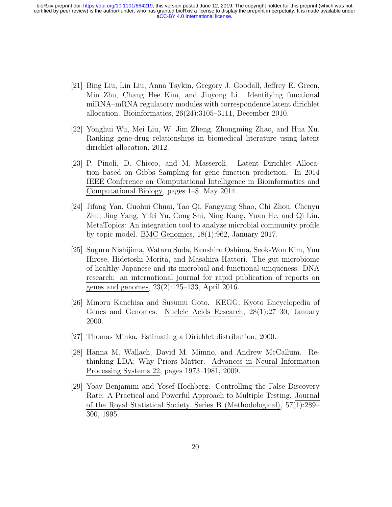- [21] Bing Liu, Lin Liu, Anna Tsykin, Gregory J. Goodall, Jeffrey E. Green, Min Zhu, Chang Hee Kim, and Jiuyong Li. Identifying functional miRNA–mRNA regulatory modules with correspondence latent dirichlet allocation. Bioinformatics, 26(24):3105–3111, December 2010.
- [22] Yonghui Wu, Mei Liu, W. Jim Zheng, Zhongming Zhao, and Hua Xu. Ranking gene-drug relationships in biomedical literature using latent dirichlet allocation, 2012.
- [23] P. Pinoli, D. Chicco, and M. Masseroli. Latent Dirichlet Allocation based on Gibbs Sampling for gene function prediction. In 2014 IEEE Conference on Computational Intelligence in Bioinformatics and Computational Biology, pages 1–8, May 2014.
- [24] Jifang Yan, Guohui Chuai, Tao Qi, Fangyang Shao, Chi Zhou, Chenyu Zhu, Jing Yang, Yifei Yu, Cong Shi, Ning Kang, Yuan He, and Qi Liu. MetaTopics: An integration tool to analyze microbial community profile by topic model. BMC Genomics, 18(1):962, January 2017.
- [25] Suguru Nishijima, Wataru Suda, Kenshiro Oshima, Seok-Won Kim, Yuu Hirose, Hidetoshi Morita, and Masahira Hattori. The gut microbiome of healthy Japanese and its microbial and functional uniqueness. DNA research: an international journal for rapid publication of reports on genes and genomes, 23(2):125–133, April 2016.
- [26] Minoru Kanehisa and Susumu Goto. KEGG: Kyoto Encyclopedia of Genes and Genomes. Nucleic Acids Research, 28(1):27–30, January 2000.
- [27] Thomas Minka. Estimating a Dirichlet distribution, 2000.
- [28] Hanna M. Wallach, David M. Mimno, and Andrew McCallum. Rethinking LDA: Why Priors Matter. Advances in Neural Information Processing Systems 22, pages 1973–1981, 2009.
- [29] Yoav Benjamini and Yosef Hochberg. Controlling the False Discovery Rate: A Practical and Powerful Approach to Multiple Testing. Journal of the Royal Statistical Society. Series B (Methodological), 57(1):289– 300, 1995.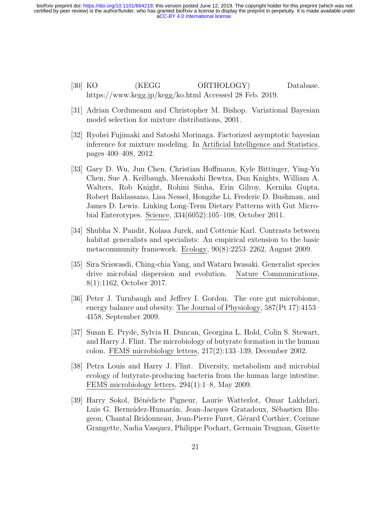- [30] KO (KEGG ORTHOLOGY) Database. https://www.kegg.jp/kegg/ko.html Accessed 28 Feb. 2019.
- [31] Adrian Corduneanu and Christopher M. Bishop. Variational Bayesian model selection for mixture distributions, 2001.
- [32] Ryohei Fujimaki and Satoshi Morinaga. Factorized asymptotic bayesian inference for mixture modeling. In Artificial Intelligence and Statistics, pages 400–408, 2012.
- [33] Gary D. Wu, Jun Chen, Christian Hoffmann, Kyle Bittinger, Ying-Yu Chen, Sue A. Keilbaugh, Meenakshi Bewtra, Dan Knights, William A. Walters, Rob Knight, Rohini Sinha, Erin Gilroy, Kernika Gupta, Robert Baldassano, Lisa Nessel, Hongzhe Li, Frederic D. Bushman, and James D. Lewis. Linking Long-Term Dietary Patterns with Gut Microbial Enterotypes. Science, 334(6052):105–108, October 2011.
- [34] Shubha N. Pandit, Kolasa Jurek, and Cottenie Karl. Contrasts between habitat generalists and specialists: An empirical extension to the basic metacommunity framework. Ecology, 90(8):2253–2262, August 2009.
- [35] Sira Sriswasdi, Ching-chia Yang, and Wataru Iwasaki. Generalist species drive microbial dispersion and evolution. Nature Communications, 8(1):1162, October 2017.
- [36] Peter J. Turnbaugh and Jeffrey I. Gordon. The core gut microbiome, energy balance and obesity. The Journal of Physiology, 587(Pt 17):4153– 4158, September 2009.
- [37] Susan E. Pryde, Sylvia H. Duncan, Georgina L. Hold, Colin S. Stewart, and Harry J. Flint. The microbiology of butyrate formation in the human colon. FEMS microbiology letters, 217(2):133–139, December 2002.
- [38] Petra Louis and Harry J. Flint. Diversity, metabolism and microbial ecology of butyrate-producing bacteria from the human large intestine. FEMS microbiology letters, 294(1):1–8, May 2009.
- [39] Harry Sokol, B´en´edicte Pigneur, Laurie Watterlot, Omar Lakhdari, Luis G. Bermúdez-Humarán, Jean-Jacques Gratadoux, Sébastien Blugeon, Chantal Bridonneau, Jean-Pierre Furet, Gérard Corthier, Corinne Grangette, Nadia Vasquez, Philippe Pochart, Germain Trugnan, Ginette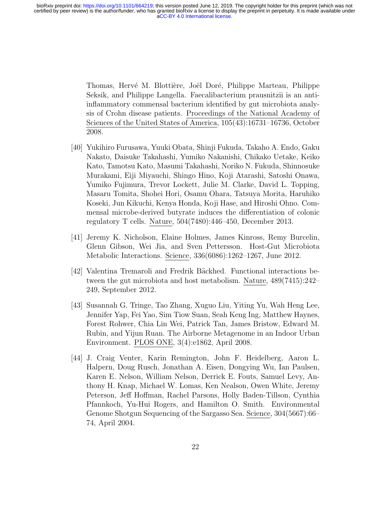Thomas, Hervé M. Blottière, Joël Doré, Philippe Marteau, Philippe Seksik, and Philippe Langella. Faecalibacterium prausnitzii is an antiinflammatory commensal bacterium identified by gut microbiota analysis of Crohn disease patients. Proceedings of the National Academy of Sciences of the United States of America, 105(43):16731–16736, October 2008.

- [40] Yukihiro Furusawa, Yuuki Obata, Shinji Fukuda, Takaho A. Endo, Gaku Nakato, Daisuke Takahashi, Yumiko Nakanishi, Chikako Uetake, Keiko Kato, Tamotsu Kato, Masumi Takahashi, Noriko N. Fukuda, Shinnosuke Murakami, Eiji Miyauchi, Shingo Hino, Koji Atarashi, Satoshi Onawa, Yumiko Fujimura, Trevor Lockett, Julie M. Clarke, David L. Topping, Masaru Tomita, Shohei Hori, Osamu Ohara, Tatsuya Morita, Haruhiko Koseki, Jun Kikuchi, Kenya Honda, Koji Hase, and Hiroshi Ohno. Commensal microbe-derived butyrate induces the differentiation of colonic regulatory T cells. Nature, 504(7480):446–450, December 2013.
- [41] Jeremy K. Nicholson, Elaine Holmes, James Kinross, Remy Burcelin, Glenn Gibson, Wei Jia, and Sven Pettersson. Host-Gut Microbiota Metabolic Interactions. Science, 336(6086):1262–1267, June 2012.
- [42] Valentina Tremaroli and Fredrik Bäckhed. Functional interactions between the gut microbiota and host metabolism. Nature, 489(7415):242– 249, September 2012.
- [43] Susannah G. Tringe, Tao Zhang, Xuguo Liu, Yiting Yu, Wah Heng Lee, Jennifer Yap, Fei Yao, Sim Tiow Suan, Seah Keng Ing, Matthew Haynes, Forest Rohwer, Chia Lin Wei, Patrick Tan, James Bristow, Edward M. Rubin, and Yijun Ruan. The Airborne Metagenome in an Indoor Urban Environment. PLOS ONE, 3(4):e1862, April 2008.
- [44] J. Craig Venter, Karin Remington, John F. Heidelberg, Aaron L. Halpern, Doug Rusch, Jonathan A. Eisen, Dongying Wu, Ian Paulsen, Karen E. Nelson, William Nelson, Derrick E. Fouts, Samuel Levy, Anthony H. Knap, Michael W. Lomas, Ken Nealson, Owen White, Jeremy Peterson, Jeff Hoffman, Rachel Parsons, Holly Baden-Tillson, Cynthia Pfannkoch, Yu-Hui Rogers, and Hamilton O. Smith. Environmental Genome Shotgun Sequencing of the Sargasso Sea. Science, 304(5667):66– 74, April 2004.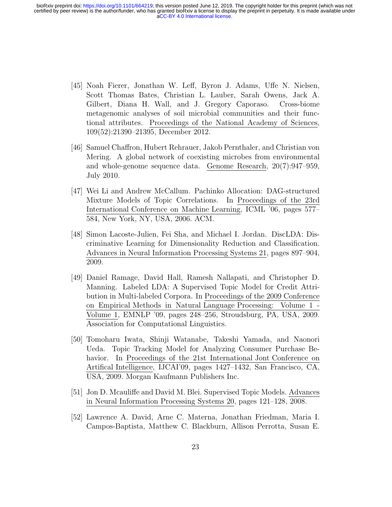- [45] Noah Fierer, Jonathan W. Leff, Byron J. Adams, Uffe N. Nielsen, Scott Thomas Bates, Christian L. Lauber, Sarah Owens, Jack A. Gilbert, Diana H. Wall, and J. Gregory Caporaso. Cross-biome metagenomic analyses of soil microbial communities and their functional attributes. Proceedings of the National Academy of Sciences, 109(52):21390–21395, December 2012.
- [46] Samuel Chaffron, Hubert Rehrauer, Jakob Pernthaler, and Christian von Mering. A global network of coexisting microbes from environmental and whole-genome sequence data. Genome Research, 20(7):947–959, July 2010.
- [47] Wei Li and Andrew McCallum. Pachinko Allocation: DAG-structured Mixture Models of Topic Correlations. In Proceedings of the 23rd International Conference on Machine Learning, ICML '06, pages 577– 584, New York, NY, USA, 2006. ACM.
- [48] Simon Lacoste-Julien, Fei Sha, and Michael I. Jordan. DiscLDA: Discriminative Learning for Dimensionality Reduction and Classification. Advances in Neural Information Processing Systems 21, pages 897–904, 2009.
- [49] Daniel Ramage, David Hall, Ramesh Nallapati, and Christopher D. Manning. Labeled LDA: A Supervised Topic Model for Credit Attribution in Multi-labeled Corpora. In Proceedings of the 2009 Conference on Empirical Methods in Natural Language Processing: Volume 1 - Volume 1, EMNLP '09, pages 248–256, Stroudsburg, PA, USA, 2009. Association for Computational Linguistics.
- [50] Tomoharu Iwata, Shinji Watanabe, Takeshi Yamada, and Naonori Ueda. Topic Tracking Model for Analyzing Consumer Purchase Behavior. In Proceedings of the 21st International Jont Conference on Artifical Intelligence, IJCAI'09, pages 1427–1432, San Francisco, CA, USA, 2009. Morgan Kaufmann Publishers Inc.
- [51] Jon D. Mcauliffe and David M. Blei. Supervised Topic Models. Advances in Neural Information Processing Systems 20, pages 121–128, 2008.
- [52] Lawrence A. David, Arne C. Materna, Jonathan Friedman, Maria I. Campos-Baptista, Matthew C. Blackburn, Allison Perrotta, Susan E.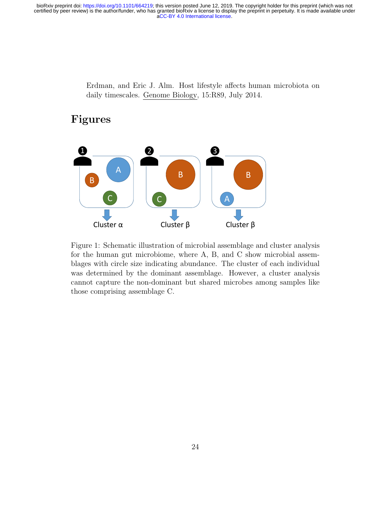Erdman, and Eric J. Alm. Host lifestyle affects human microbiota on daily timescales. Genome Biology, 15:R89, July 2014.

## Figures



Figure 1: Schematic illustration of microbial assemblage and cluster analysis for the human gut microbiome, where A, B, and C show microbial assemblages with circle size indicating abundance. The cluster of each individual was determined by the dominant assemblage. However, a cluster analysis cannot capture the non-dominant but shared microbes among samples like those comprising assemblage C.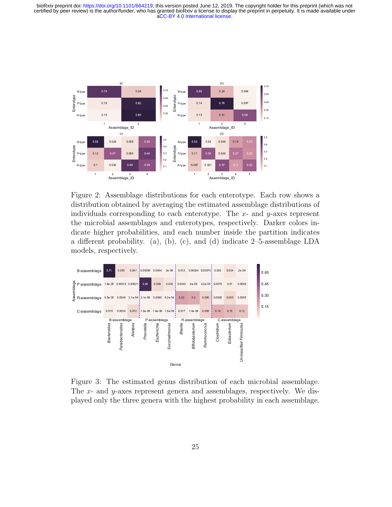

Figure 2: Assemblage distributions for each enterotype. Each row shows a distribution obtained by averaging the estimated assemblage distributions of individuals corresponding to each enterotype. The  $x$ - and  $y$ -axes represent the microbial assemblages and enterotypes, respectively. Darker colors indicate higher probabilities, and each number inside the partition indicates a different probability. (a), (b), (c), and (d) indicate 2–5-assemblage LDA models, respectively.



Figure 3: The estimated genus distribution of each microbial assemblage. The x- and y-axes represent genera and assemblages, respectively. We displayed only the three genera with the highest probability in each assemblage.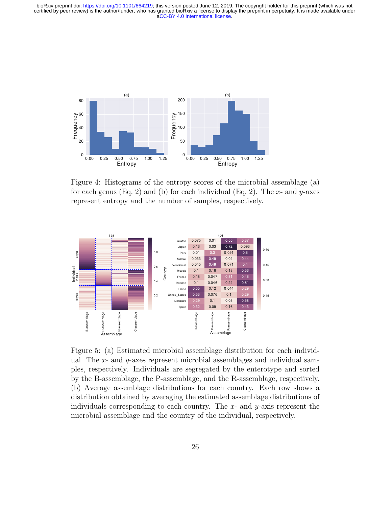

Figure 4: Histograms of the entropy scores of the microbial assemblage (a) for each genus (Eq. 2) and (b) for each individual (Eq. 2). The  $x$ - and  $y$ -axes represent entropy and the number of samples, respectively.



Figure 5: (a) Estimated microbial assemblage distribution for each individual. The x- and  $y$ -axes represent microbial assemblages and individual samples, respectively. Individuals are segregated by the enterotype and sorted by the B-assemblage, the P-assemblage, and the R-assemblage, respectively. (b) Average assemblage distributions for each country. Each row shows a distribution obtained by averaging the estimated assemblage distributions of individuals corresponding to each country. The  $x$ - and  $y$ -axis represent the microbial assemblage and the country of the individual, respectively.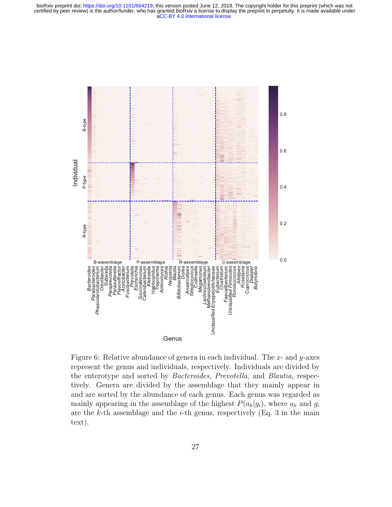

Figure 6: Relative abundance of genera in each individual. The  $x$ - and  $y$ -axes represent the genus and individuals, respectively. Individuals are divided by the enterotype and sorted by Bacteroides, Prevotella, and Blautia, respectively. Genera are divided by the assemblage that they mainly appear in and are sorted by the abundance of each genus. Each genus was regarded as mainly appearing in the assemblage of the highest  $P(a_k|g_i)$ , where  $a_k$  and  $g_i$ are the  $k$ -th assemblage and the  $i$ -th genus, respectively (Eq. 3 in the main text).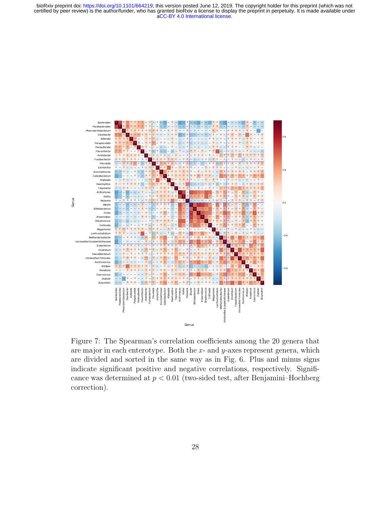

Figure 7: The Spearman's correlation coefficients among the 20 genera that are major in each enterotype. Both the  $x$ - and  $y$ -axes represent genera, which are divided and sorted in the same way as in Fig. 6. Plus and minus signs indicate significant positive and negative correlations, respectively. Significance was determined at  $p < 0.01$  (two-sided test, after Benjamini–Hochberg correction).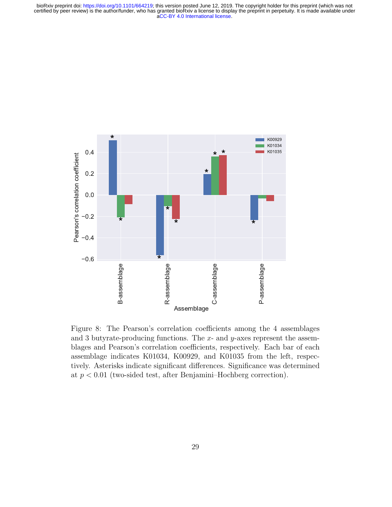

Figure 8: The Pearson's correlation coefficients among the 4 assemblages and 3 butyrate-producing functions. The  $x$ - and  $y$ -axes represent the assemblages and Pearson's correlation coefficients, respectively. Each bar of each assemblage indicates K01034, K00929, and K01035 from the left, respectively. Asterisks indicate significant differences. Significance was determined at  $p < 0.01$  (two-sided test, after Benjamini–Hochberg correction).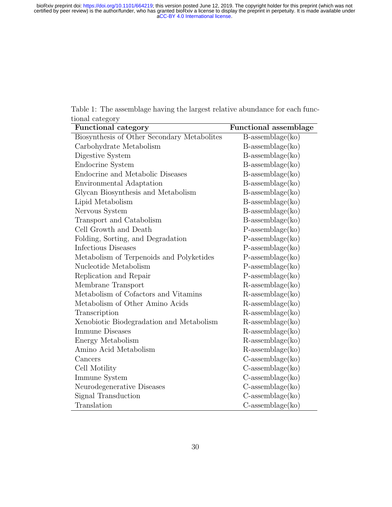Table 1: The assemblage having the largest relative abundance for each functional category  $\overline{\phantom{a}}$ 

L,

| ు<br><b>Functional category</b>             | <b>Functional assemblage</b> |
|---------------------------------------------|------------------------------|
| Biosynthesis of Other Secondary Metabolites | $B$ -assemblage $(ko)$       |
| Carbohydrate Metabolism                     | $B$ -assemblage $(ko)$       |
| Digestive System                            | $B$ -assemblage $(ko)$       |
| Endocrine System                            | $B$ -assemblage $(ko)$       |
| Endocrine and Metabolic Diseases            | $B$ -assemblage $(ko)$       |
| Environmental Adaptation                    | $B$ -assemblage $(ko)$       |
| Glycan Biosynthesis and Metabolism          | $B$ -assemblage $(ko)$       |
| Lipid Metabolism                            | $B$ -assemblage $(ko)$       |
| Nervous System                              | $B$ -assemblage $(ko)$       |
| Transport and Catabolism                    | $B$ -assemblage $(ko)$       |
| Cell Growth and Death                       | $P$ -assemblage $(ko)$       |
| Folding, Sorting, and Degradation           | $P$ -assemblage $(ko)$       |
| Infectious Diseases                         | $P$ -assemblage $(ko)$       |
| Metabolism of Terpenoids and Polyketides    | $P$ -assemblage $(ko)$       |
| Nucleotide Metabolism                       | $P$ -assemblage $(ko)$       |
| Replication and Repair                      | $P$ -assemblage $(ko)$       |
| Membrane Transport                          | $R$ -assemblage $(ko)$       |
| Metabolism of Cofactors and Vitamins        | $R$ -assemblage $(ko)$       |
| Metabolism of Other Amino Acids             | $R$ -assemblage $(ko)$       |
| Transcription                               | $R$ -assemblage $(ko)$       |
| Xenobiotic Biodegradation and Metabolism    | $R$ -assemblage $(ko)$       |
| <b>Immune Diseases</b>                      | $R$ -assemblage $(ko)$       |
| Energy Metabolism                           | $R$ -assemblage $(ko)$       |
| Amino Acid Metabolism                       | $R$ -assemblage $(ko)$       |
| Cancers                                     | $C$ -assemblage $(ko)$       |
| Cell Motility                               | $C$ -assemblage $(ko)$       |
| Immune System                               | $C$ -assemblage $(ko)$       |
| Neurodegenerative Diseases                  | $C$ -assemblage $(ko)$       |
| Signal Transduction                         | $C$ -assemblage $(ko)$       |
| Translation                                 | $C$ -assemblage $(ko)$       |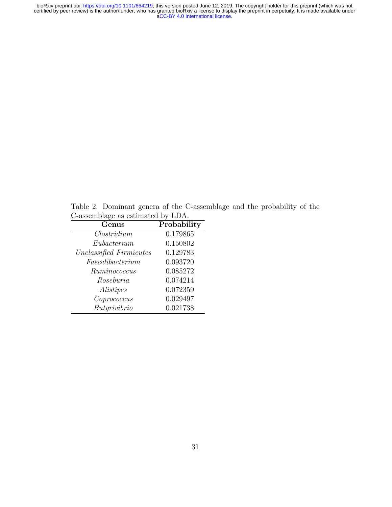Table 2: Dominant genera of the C-assemblage and the probability of the C-assemblage as estimated by LDA.

| Genus                   | Probability |
|-------------------------|-------------|
| $\textit{Clostridium}$  | 0.179865    |
| Eubacterium             | 0.150802    |
| Unclassified Firmicutes | 0.129783    |
| Faecalibacterium        | 0.093720    |
| Ruminococcus            | 0.085272    |
| Roseburia               | 0.074214    |
| Alistipes               | 0.072359    |
| Coprococus              | 0.029497    |
| Butyrivibrio            | 0.021738    |